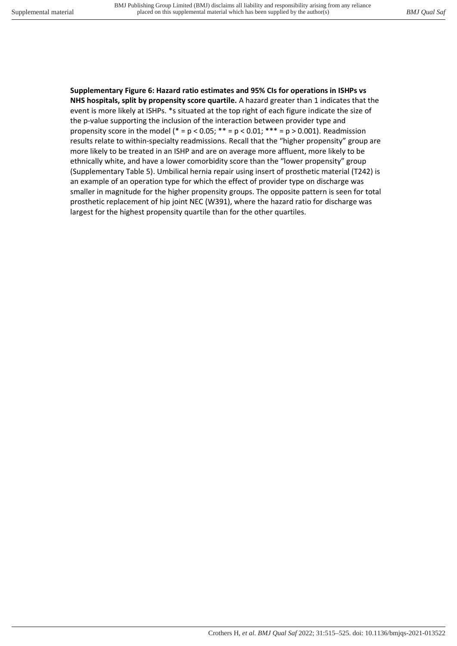## **Supplementary Figure 6: Hazard ratio estimates and 95% CIs for operations in ISHPs vs**

**NHS hospitals, split by propensity score quartile.** A hazard greater than 1 indicates that the event is more likely at ISHPs. \*s situated at the top right of each figure indicate the size of the p-value supporting the inclusion of the interaction between provider type and propensity score in the model (\* = p < 0.05; \*\* = p < 0.01; \*\*\* = p > 0.001). Readmission results relate to within-specialty readmissions. Recall that the "higher propensity" group are more likely to be treated in an ISHP and are on average more affluent, more likely to be ethnically white, and have a lower comorbidity score than the "lower propensity" group (Supplementary Table 5). Umbilical hernia repair using insert of prosthetic material (T242) is an example of an operation type for which the effect of provider type on discharge was smaller in magnitude for the higher propensity groups. The opposite pattern is seen for total prosthetic replacement of hip joint NEC (W391), where the hazard ratio for discharge was largest for the highest propensity quartile than for the other quartiles.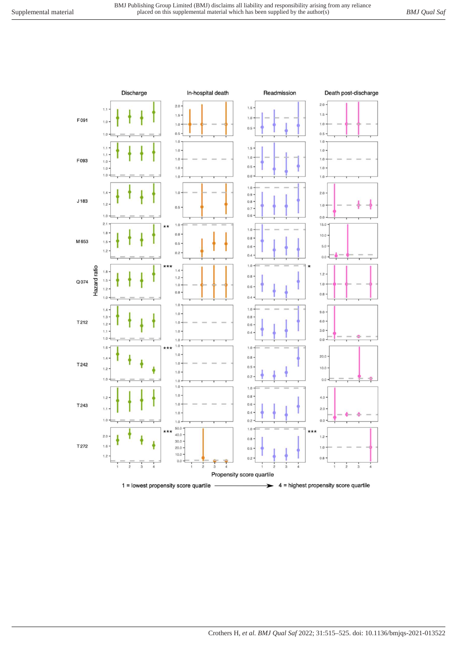